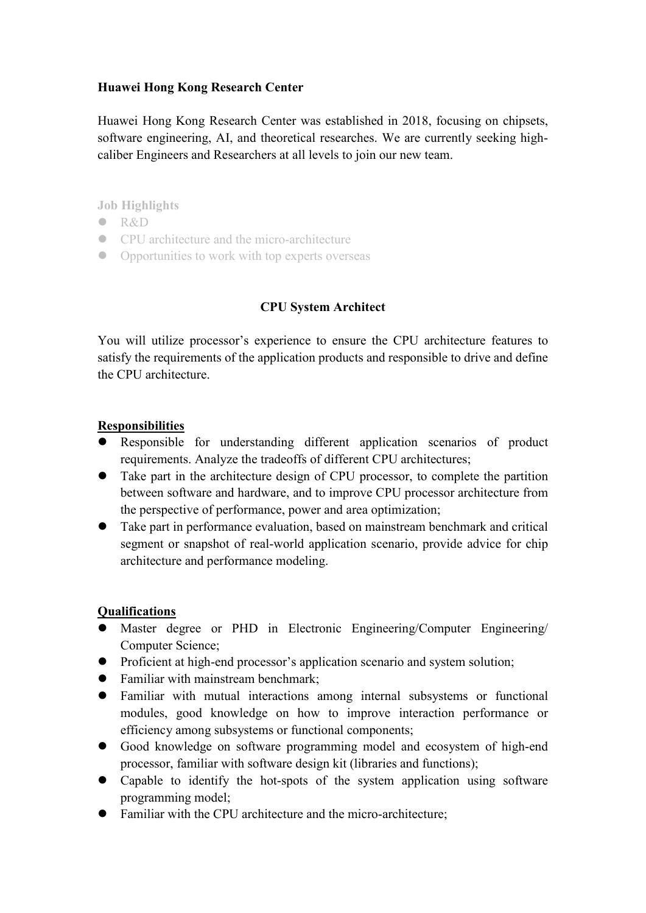## **Huawei Hong Kong Research Center**

Huawei Hong Kong Research Center was established in 2018, focusing on chipsets, software engineering, AI, and theoretical researches. We are currently seeking highcaliber Engineers and Researchers at all levels to join our new team.

**Job Highlights**

- $\bullet$  R&D
- CPU architecture and the micro-architecture
- Opportunities to work with top experts overseas

## **CPU System Architect**

You will utilize processor's experience to ensure the CPU architecture features to satisfy the requirements of the application products and responsible to drive and define the CPU architecture.

## **Responsibilities**

- Responsible for understanding different application scenarios of product requirements. Analyze the tradeoffs of different CPU architectures;
- Take part in the architecture design of CPU processor, to complete the partition between software and hardware, and to improve CPU processor architecture from the perspective of performance, power and area optimization;
- Take part in performance evaluation, based on mainstream benchmark and critical segment or snapshot of real-world application scenario, provide advice for chip architecture and performance modeling.

## **Qualifications**

- Master degree or PHD in Electronic Engineering/Computer Engineering/ Computer Science;
- Proficient at high-end processor's application scenario and system solution;
- Familiar with mainstream benchmark:
- Familiar with mutual interactions among internal subsystems or functional modules, good knowledge on how to improve interaction performance or efficiency among subsystems or functional components;
- Good knowledge on software programming model and ecosystem of high-end processor, familiar with software design kit (libraries and functions);
- Capable to identify the hot-spots of the system application using software programming model;
- Familiar with the CPU architecture and the micro-architecture;